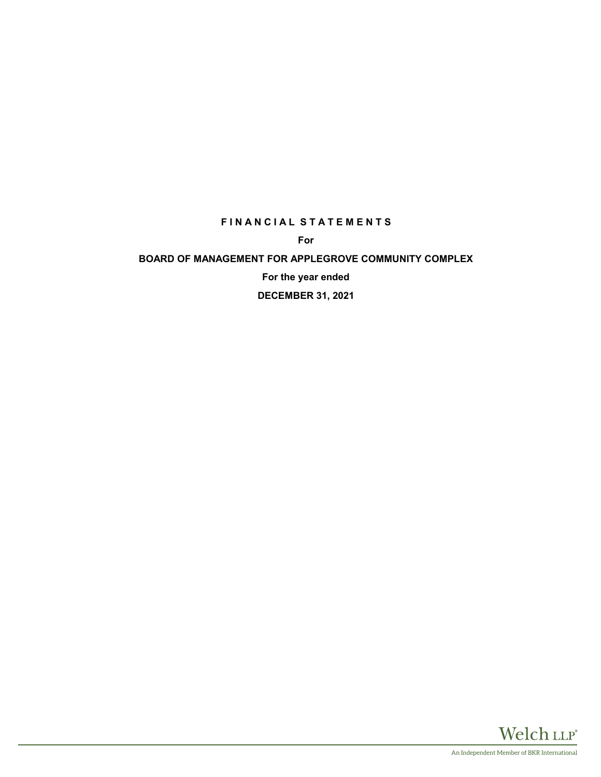# **F I N A N C I A L S T A T E M E N T S**

**For**

# **BOARD OF MANAGEMENT FOR APPLEGROVE COMMUNITY COMPLEX**

**For the year ended**

**DECEMBER 31, 2021**

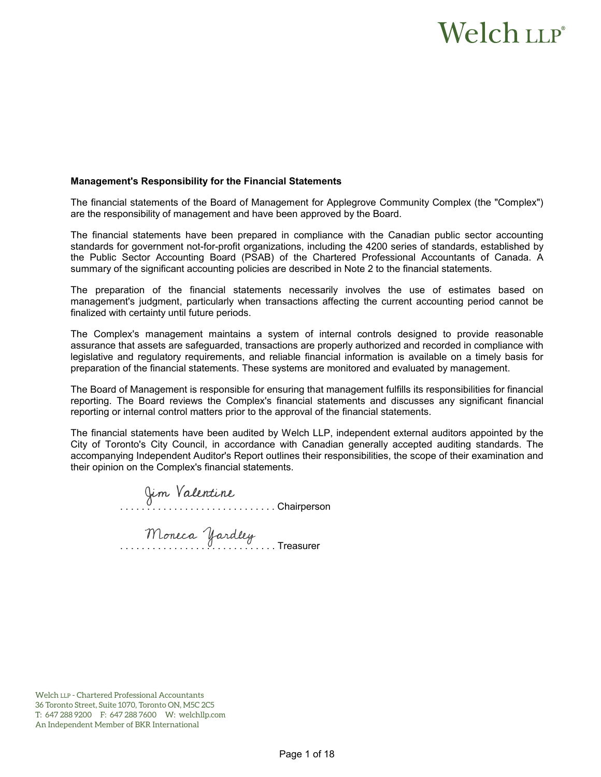# Welch LLP®

#### **Management's Responsibility for the Financial Statements**

The financial statements of the Board of Management for Applegrove Community Complex (the "Complex") are the responsibility of management and have been approved by the Board.

The financial statements have been prepared in compliance with the Canadian public sector accounting standards for government not-for-profit organizations, including the 4200 series of standards, established by the Public Sector Accounting Board (PSAB) of the Chartered Professional Accountants of Canada. A summary of the significant accounting policies are described in Note 2 to the financial statements.

The preparation of the financial statements necessarily involves the use of estimates based on management's judgment, particularly when transactions affecting the current accounting period cannot be finalized with certainty until future periods.

The Complex's management maintains a system of internal controls designed to provide reasonable assurance that assets are safeguarded, transactions are properly authorized and recorded in compliance with legislative and regulatory requirements, and reliable financial information is available on a timely basis for preparation of the financial statements. These systems are monitored and evaluated by management.

The Board of Management is responsible for ensuring that management fulfills its responsibilities for financial reporting. The Board reviews the Complex's financial statements and discusses any significant financial reporting or internal control matters prior to the approval of the financial statements.

The financial statements have been audited by Welch LLP, independent external auditors appointed by the City of Toronto's City Council, in accordance with Canadian generally accepted auditing standards. The accompanying Independent Auditor's Report outlines their responsibilities, the scope of their examination and their opinion on the Complex's financial statements.

Jim Valentine<br>Chairperson

Moneca Yardley ... . Treasurer

Welch LLP - Chartered Professional Accountants 36 Toronto Street, Suite 1070, Toronto ON, M5C 2C5 T: 647 288 9200 F: 647 288 7600 W: welchllp.com An Independent Member of BKR International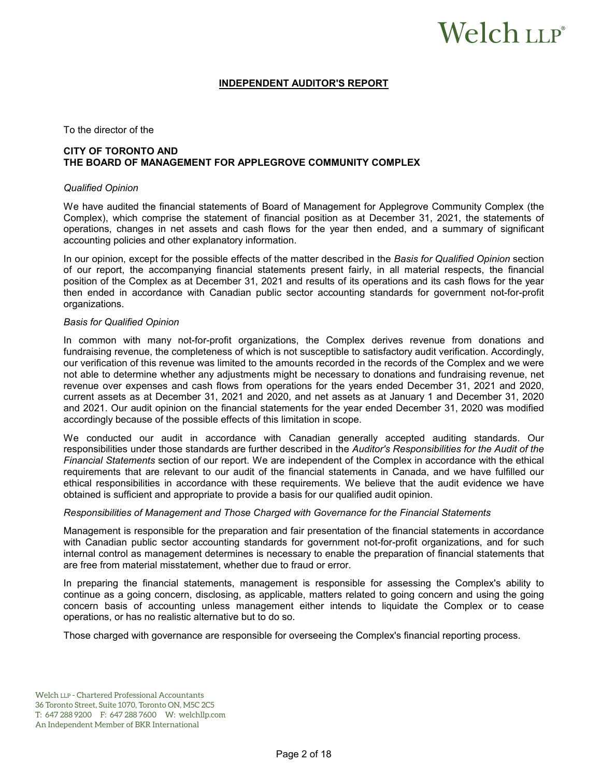# Welch LLP®

#### **INDEPENDENT AUDITOR'S REPORT**

To the director of the

# **CITY OF TORONTO AND THE BOARD OF MANAGEMENT FOR APPLEGROVE COMMUNITY COMPLEX**

#### *Qualified Opinion*

We have audited the financial statements of Board of Management for Applegrove Community Complex (the Complex), which comprise the statement of financial position as at December 31, 2021, the statements of operations, changes in net assets and cash flows for the year then ended, and a summary of significant accounting policies and other explanatory information.

In our opinion, except for the possible effects of the matter described in the *Basis for Qualified Opinion* section of our report, the accompanying financial statements present fairly, in all material respects, the financial position of the Complex as at December 31, 2021 and results of its operations and its cash flows for the year then ended in accordance with Canadian public sector accounting standards for government not-for-profit organizations.

#### *Basis for Qualified Opinion*

In common with many not-for-profit organizations, the Complex derives revenue from donations and fundraising revenue, the completeness of which is not susceptible to satisfactory audit verification. Accordingly, our verification of this revenue was limited to the amounts recorded in the records of the Complex and we were not able to determine whether any adjustments might be necessary to donations and fundraising revenue, net revenue over expenses and cash flows from operations for the years ended December 31, 2021 and 2020, current assets as at December 31, 2021 and 2020, and net assets as at January 1 and December 31, 2020 and 2021. Our audit opinion on the financial statements for the year ended December 31, 2020 was modified accordingly because of the possible effects of this limitation in scope.

We conducted our audit in accordance with Canadian generally accepted auditing standards. Our responsibilities under those standards are further described in the *Auditor's Responsibilities for the Audit of the Financial Statements* section of our report. We are independent of the Complex in accordance with the ethical requirements that are relevant to our audit of the financial statements in Canada, and we have fulfilled our ethical responsibilities in accordance with these requirements. We believe that the audit evidence we have obtained is sufficient and appropriate to provide a basis for our qualified audit opinion.

#### *Responsibilities of Management and Those Charged with Governance for the Financial Statements*

Management is responsible for the preparation and fair presentation of the financial statements in accordance with Canadian public sector accounting standards for government not-for-profit organizations, and for such internal control as management determines is necessary to enable the preparation of financial statements that are free from material misstatement, whether due to fraud or error.

In preparing the financial statements, management is responsible for assessing the Complex's ability to continue as a going concern, disclosing, as applicable, matters related to going concern and using the going concern basis of accounting unless management either intends to liquidate the Complex or to cease operations, or has no realistic alternative but to do so.

Those charged with governance are responsible for overseeing the Complex's financial reporting process.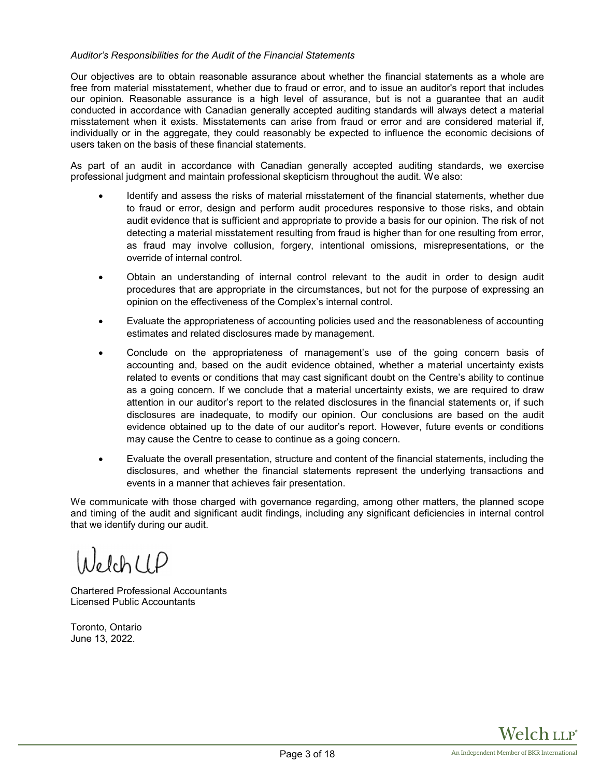### *Auditor's Responsibilities for the Audit of the Financial Statements*

Our objectives are to obtain reasonable assurance about whether the financial statements as a whole are free from material misstatement, whether due to fraud or error, and to issue an auditor's report that includes our opinion. Reasonable assurance is a high level of assurance, but is not a guarantee that an audit conducted in accordance with Canadian generally accepted auditing standards will always detect a material misstatement when it exists. Misstatements can arise from fraud or error and are considered material if, individually or in the aggregate, they could reasonably be expected to influence the economic decisions of users taken on the basis of these financial statements.

As part of an audit in accordance with Canadian generally accepted auditing standards, we exercise professional judgment and maintain professional skepticism throughout the audit. We also:

- Identify and assess the risks of material misstatement of the financial statements, whether due to fraud or error, design and perform audit procedures responsive to those risks, and obtain audit evidence that is sufficient and appropriate to provide a basis for our opinion. The risk of not detecting a material misstatement resulting from fraud is higher than for one resulting from error, as fraud may involve collusion, forgery, intentional omissions, misrepresentations, or the override of internal control.
- Obtain an understanding of internal control relevant to the audit in order to design audit procedures that are appropriate in the circumstances, but not for the purpose of expressing an opinion on the effectiveness of the Complex's internal control.
- Evaluate the appropriateness of accounting policies used and the reasonableness of accounting estimates and related disclosures made by management.
- Conclude on the appropriateness of management's use of the going concern basis of accounting and, based on the audit evidence obtained, whether a material uncertainty exists related to events or conditions that may cast significant doubt on the Centre's ability to continue as a going concern. If we conclude that a material uncertainty exists, we are required to draw attention in our auditor's report to the related disclosures in the financial statements or, if such disclosures are inadequate, to modify our opinion. Our conclusions are based on the audit evidence obtained up to the date of our auditor's report. However, future events or conditions may cause the Centre to cease to continue as a going concern.
- Evaluate the overall presentation, structure and content of the financial statements, including the disclosures, and whether the financial statements represent the underlying transactions and events in a manner that achieves fair presentation.

We communicate with those charged with governance regarding, among other matters, the planned scope and timing of the audit and significant audit findings, including any significant deficiencies in internal control that we identify during our audit.

 $NelchUP$ 

Chartered Professional Accountants Licensed Public Accountants

Toronto, Ontario June 13, 2022.

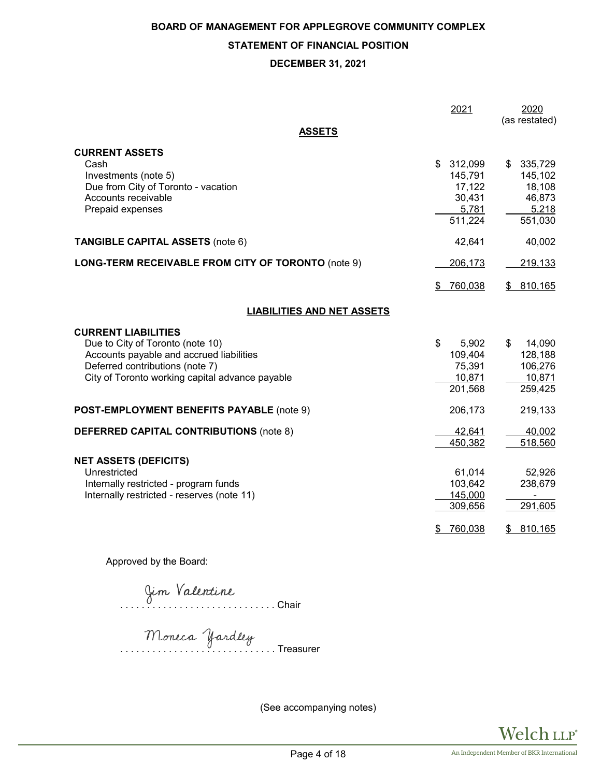# **STATEMENT OF FINANCIAL POSITION**

## **DECEMBER 31, 2021**

|                                                                                                                                                                                                  | 2021                                                         | 2020                                                         |
|--------------------------------------------------------------------------------------------------------------------------------------------------------------------------------------------------|--------------------------------------------------------------|--------------------------------------------------------------|
| <b>ASSETS</b>                                                                                                                                                                                    |                                                              | (as restated)                                                |
| <b>CURRENT ASSETS</b><br>Cash<br>Investments (note 5)<br>Due from City of Toronto - vacation<br>Accounts receivable<br>Prepaid expenses                                                          | \$312,099<br>145,791<br>17,122<br>30,431<br>5,781<br>511,224 | \$335,729<br>145,102<br>18,108<br>46,873<br>5,218<br>551,030 |
| <b>TANGIBLE CAPITAL ASSETS (note 6)</b>                                                                                                                                                          | 42,641                                                       | 40,002                                                       |
| LONG-TERM RECEIVABLE FROM CITY OF TORONTO (note 9)                                                                                                                                               | 206,173                                                      | 219,133                                                      |
|                                                                                                                                                                                                  | \$760,038                                                    | \$810,165                                                    |
| <b>LIABILITIES AND NET ASSETS</b>                                                                                                                                                                |                                                              |                                                              |
| <b>CURRENT LIABILITIES</b><br>Due to City of Toronto (note 10)<br>Accounts payable and accrued liabilities<br>Deferred contributions (note 7)<br>City of Toronto working capital advance payable | \$<br>5,902<br>109,404<br>75,391<br>10,871<br>201,568        | \$<br>14,090<br>128,188<br>106,276<br>10,871<br>259,425      |
| POST-EMPLOYMENT BENEFITS PAYABLE (note 9)                                                                                                                                                        | 206,173                                                      | 219,133                                                      |
| <b>DEFERRED CAPITAL CONTRIBUTIONS (note 8)</b>                                                                                                                                                   | 42,641<br>450,382                                            | 40,002<br>518,560                                            |
| <b>NET ASSETS (DEFICITS)</b><br>Unrestricted<br>Internally restricted - program funds<br>Internally restricted - reserves (note 11)                                                              | 61,014<br>103,642<br>145,000<br>309,656<br>760,038<br>\$     | 52,926<br>238,679<br>$\blacksquare$<br>291,605<br>\$810,165  |
| Approved by the Roard.                                                                                                                                                                           |                                                              |                                                              |

Approved by the Board:

. . . . . . . . . . . . . . . . . . . . . . . . . . . . . Chair

. . . . . . . . . . . . . . . . . . . . . . . . . . . . . Treasurer

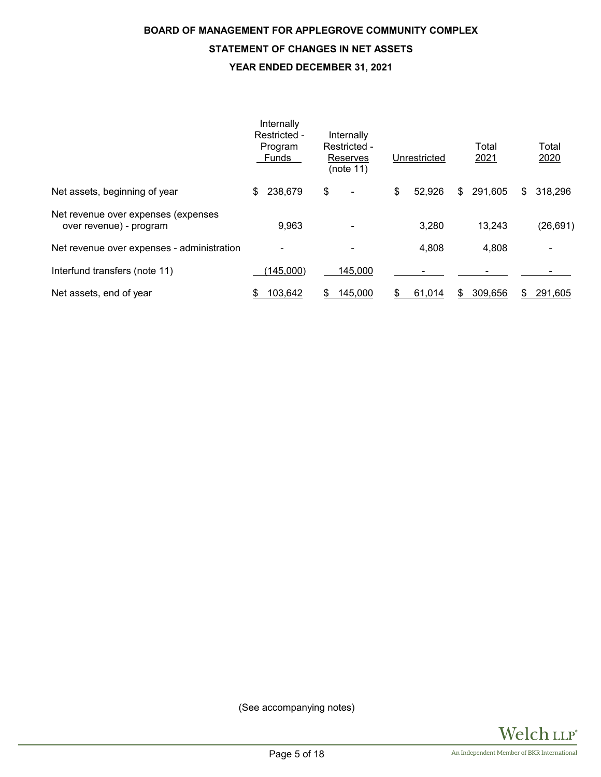# **BOARD OF MANAGEMENT FOR APPLEGROVE COMMUNITY COMPLEX STATEMENT OF CHANGES IN NET ASSETS YEAR ENDED DECEMBER 31, 2021**

|                                                                | Internally<br>Restricted -<br>Program<br>Funds | Internally<br>Restricted -<br>Reserves<br>(note 11) | Unrestricted | Total<br>2021 | Total<br>2020 |
|----------------------------------------------------------------|------------------------------------------------|-----------------------------------------------------|--------------|---------------|---------------|
| Net assets, beginning of year                                  | 238,679<br>\$.                                 | \$<br>$\blacksquare$                                | \$<br>52,926 | 291,605<br>\$ | 318,296<br>\$ |
| Net revenue over expenses (expenses<br>over revenue) - program | 9,963                                          |                                                     | 3,280        | 13,243        | (26, 691)     |
| Net revenue over expenses - administration                     |                                                |                                                     | 4,808        | 4,808         |               |
| Interfund transfers (note 11)                                  | (145,000)                                      | 145,000                                             |              |               |               |
| Net assets, end of year                                        | 103,642                                        | 145,000                                             | 61,014       | 309,656<br>S. | 291,605<br>\$ |

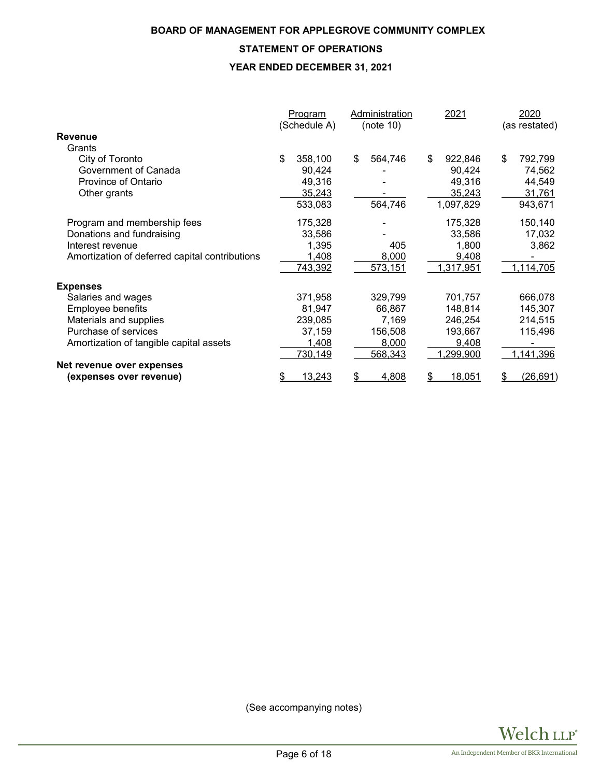# **STATEMENT OF OPERATIONS**

# **YEAR ENDED DECEMBER 31, 2021**

|                                                | Program<br>(Schedule A) | Administration<br>(note $10$ ) | 2021          | 2020<br>(as restated) |
|------------------------------------------------|-------------------------|--------------------------------|---------------|-----------------------|
| <b>Revenue</b>                                 |                         |                                |               |                       |
| Grants                                         |                         |                                |               |                       |
| City of Toronto                                | \$<br>358,100           | \$<br>564,746                  | 922,846<br>\$ | \$<br>792,799         |
| Government of Canada                           | 90,424                  |                                | 90,424        | 74,562                |
| Province of Ontario                            | 49,316                  |                                | 49,316        | 44,549                |
| Other grants                                   | 35,243                  |                                | 35,243        | 31,761                |
|                                                | 533,083                 | 564,746                        | 1,097,829     | 943,671               |
| Program and membership fees                    | 175,328                 |                                | 175,328       | 150,140               |
| Donations and fundraising                      | 33,586                  |                                | 33,586        | 17,032                |
| Interest revenue                               | 1,395                   | 405                            | 1,800         | 3,862                 |
| Amortization of deferred capital contributions | 1,408                   | 8,000                          | 9,408         |                       |
|                                                | 743,392                 | 573,151                        | 1,317,951     | 1,114,705             |
| <b>Expenses</b>                                |                         |                                |               |                       |
| Salaries and wages                             | 371,958                 | 329,799                        | 701,757       | 666,078               |
| Employee benefits                              | 81,947                  | 66,867                         | 148,814       | 145,307               |
| Materials and supplies                         | 239,085                 | 7,169                          | 246,254       | 214,515               |
| Purchase of services                           | 37,159                  | 156,508                        | 193,667       | 115,496               |
| Amortization of tangible capital assets        | 1,408                   | 8,000                          | 9,408         |                       |
|                                                | 730,149                 | 568,343                        | 1,299,900     | 1,141,396             |
| Net revenue over expenses                      |                         |                                |               |                       |
| (expenses over revenue)                        | 13,243<br>\$            | 4,808<br>\$                    | 18,051<br>\$  | (26, 691)<br>\$       |

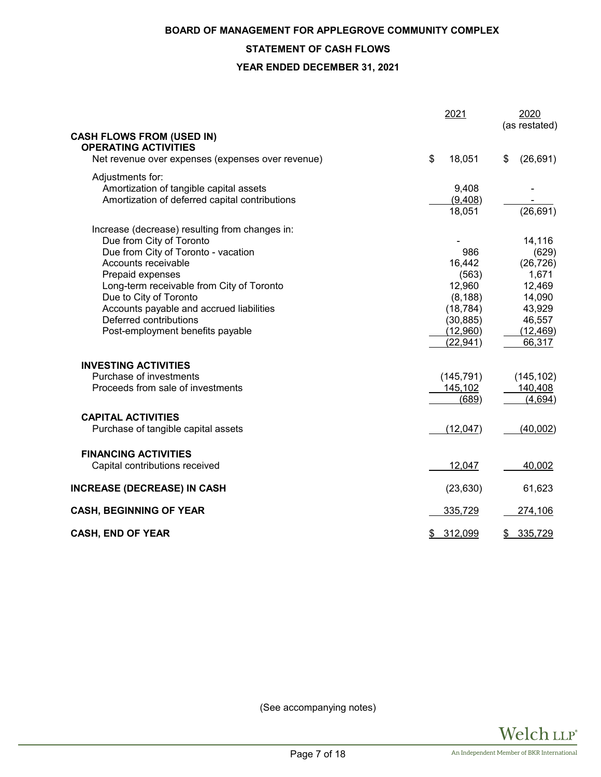# **STATEMENT OF CASH FLOWS**

# **YEAR ENDED DECEMBER 31, 2021**

|                                                   | 2021                  | 2020<br>(as restated) |
|---------------------------------------------------|-----------------------|-----------------------|
| <b>CASH FLOWS FROM (USED IN)</b>                  |                       |                       |
| <b>OPERATING ACTIVITIES</b>                       |                       |                       |
| Net revenue over expenses (expenses over revenue) | \$<br>18,051          | \$<br>(26, 691)       |
| Adjustments for:                                  |                       |                       |
| Amortization of tangible capital assets           | 9,408                 |                       |
| Amortization of deferred capital contributions    | (9,408)               |                       |
|                                                   | 18,051                | (26, 691)             |
| Increase (decrease) resulting from changes in:    |                       |                       |
| Due from City of Toronto                          |                       | 14,116                |
| Due from City of Toronto - vacation               | 986                   | (629)                 |
| Accounts receivable                               | 16,442                | (26, 726)             |
| Prepaid expenses                                  | (563)                 | 1,671                 |
| Long-term receivable from City of Toronto         | 12,960                | 12,469                |
| Due to City of Toronto                            | (8, 188)              | 14,090                |
| Accounts payable and accrued liabilities          | (18, 784)             | 43,929                |
| Deferred contributions                            | (30, 885)             | 46,557                |
| Post-employment benefits payable                  | (12,960)              | (12, 469)             |
|                                                   | (22, 941)             | 66,317                |
| <b>INVESTING ACTIVITIES</b>                       |                       |                       |
| Purchase of investments                           |                       |                       |
| Proceeds from sale of investments                 | (145, 791)<br>145,102 | (145, 102)<br>140,408 |
|                                                   |                       |                       |
|                                                   | (689)                 | (4,694)               |
| <b>CAPITAL ACTIVITIES</b>                         |                       |                       |
| Purchase of tangible capital assets               | (12,047)              | (40,002)              |
| <b>FINANCING ACTIVITIES</b>                       |                       |                       |
| Capital contributions received                    | 12,047                | 40,002                |
|                                                   |                       |                       |
| <b>INCREASE (DECREASE) IN CASH</b>                | (23, 630)             | 61,623                |
| <b>CASH, BEGINNING OF YEAR</b>                    | 335,729               | 274,106               |
| <b>CASH, END OF YEAR</b>                          | 312,099<br>\$         | \$<br>335,729         |

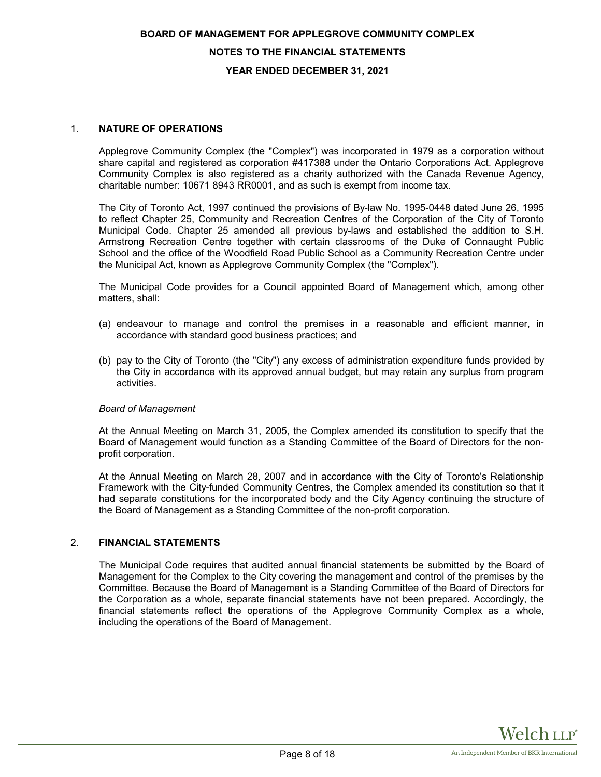#### **NOTES TO THE FINANCIAL STATEMENTS**

#### **YEAR ENDED DECEMBER 31, 2021**

#### 1. **NATURE OF OPERATIONS**

Applegrove Community Complex (the "Complex") was incorporated in 1979 as a corporation without share capital and registered as corporation #417388 under the Ontario Corporations Act. Applegrove Community Complex is also registered as a charity authorized with the Canada Revenue Agency, charitable number: 10671 8943 RR0001, and as such is exempt from income tax.

The City of Toronto Act, 1997 continued the provisions of By-law No. 1995-0448 dated June 26, 1995 to reflect Chapter 25, Community and Recreation Centres of the Corporation of the City of Toronto Municipal Code. Chapter 25 amended all previous by-laws and established the addition to S.H. Armstrong Recreation Centre together with certain classrooms of the Duke of Connaught Public School and the office of the Woodfield Road Public School as a Community Recreation Centre under the Municipal Act, known as Applegrove Community Complex (the "Complex").

The Municipal Code provides for a Council appointed Board of Management which, among other matters, shall:

- (a) endeavour to manage and control the premises in a reasonable and efficient manner, in accordance with standard good business practices; and
- (b) pay to the City of Toronto (the "City") any excess of administration expenditure funds provided by the City in accordance with its approved annual budget, but may retain any surplus from program activities.

#### *Board of Management*

At the Annual Meeting on March 31, 2005, the Complex amended its constitution to specify that the Board of Management would function as a Standing Committee of the Board of Directors for the nonprofit corporation.

At the Annual Meeting on March 28, 2007 and in accordance with the City of Toronto's Relationship Framework with the City-funded Community Centres, the Complex amended its constitution so that it had separate constitutions for the incorporated body and the City Agency continuing the structure of the Board of Management as a Standing Committee of the non-profit corporation.

#### 2. **FINANCIAL STATEMENTS**

The Municipal Code requires that audited annual financial statements be submitted by the Board of Management for the Complex to the City covering the management and control of the premises by the Committee. Because the Board of Management is a Standing Committee of the Board of Directors for the Corporation as a whole, separate financial statements have not been prepared. Accordingly, the financial statements reflect the operations of the Applegrove Community Complex as a whole, including the operations of the Board of Management.

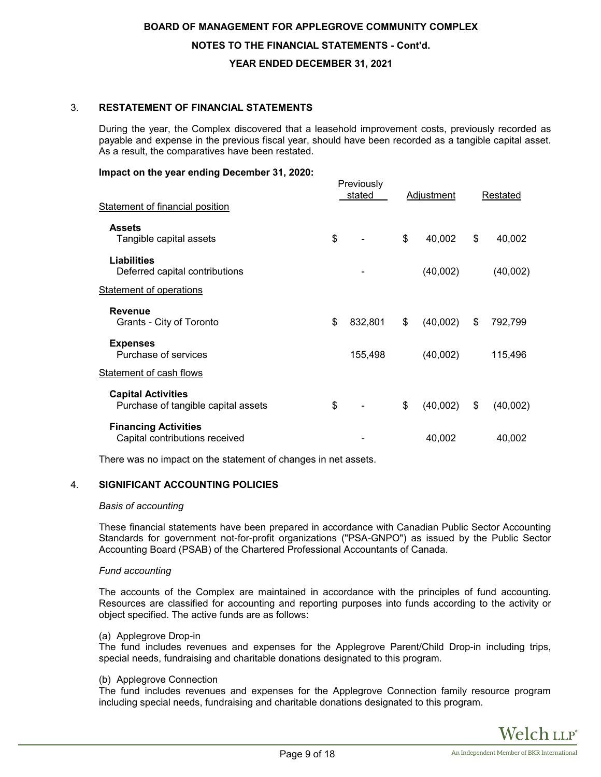# 3. **RESTATEMENT OF FINANCIAL STATEMENTS**

During the year, the Complex discovered that a leasehold improvement costs, previously recorded as payable and expense in the previous fiscal year, should have been recorded as a tangible capital asset. As a result, the comparatives have been restated.

#### **Impact on the year ending December 31, 2020:**

|               |                      |          |                   | Restated |
|---------------|----------------------|----------|-------------------|----------|
|               |                      |          |                   |          |
| \$            | \$                   | 40,002   | \$                | 40,002   |
|               |                      | (40,002) |                   | (40,002) |
|               |                      |          |                   |          |
| \$<br>832,801 | \$                   | (40,002) | \$                | 792,799  |
| 155,498       |                      | (40,002) |                   | 115,496  |
|               |                      |          |                   |          |
| \$            | \$                   | (40,002) | \$                | (40,002) |
|               |                      | 40,002   |                   | 40,002   |
|               | Previously<br>stated |          | <b>Adjustment</b> |          |

There was no impact on the statement of changes in net assets.

#### 4. **SIGNIFICANT ACCOUNTING POLICIES**

#### *Basis of accounting*

These financial statements have been prepared in accordance with Canadian Public Sector Accounting Standards for government not-for-profit organizations ("PSA-GNPO") as issued by the Public Sector Accounting Board (PSAB) of the Chartered Professional Accountants of Canada.

#### *Fund accounting*

The accounts of the Complex are maintained in accordance with the principles of fund accounting. Resources are classified for accounting and reporting purposes into funds according to the activity or object specified. The active funds are as follows:

#### (a) Applegrove Drop-in

The fund includes revenues and expenses for the Applegrove Parent/Child Drop-in including trips, special needs, fundraising and charitable donations designated to this program.

#### (b) Applegrove Connection

The fund includes revenues and expenses for the Applegrove Connection family resource program including special needs, fundraising and charitable donations designated to this program.

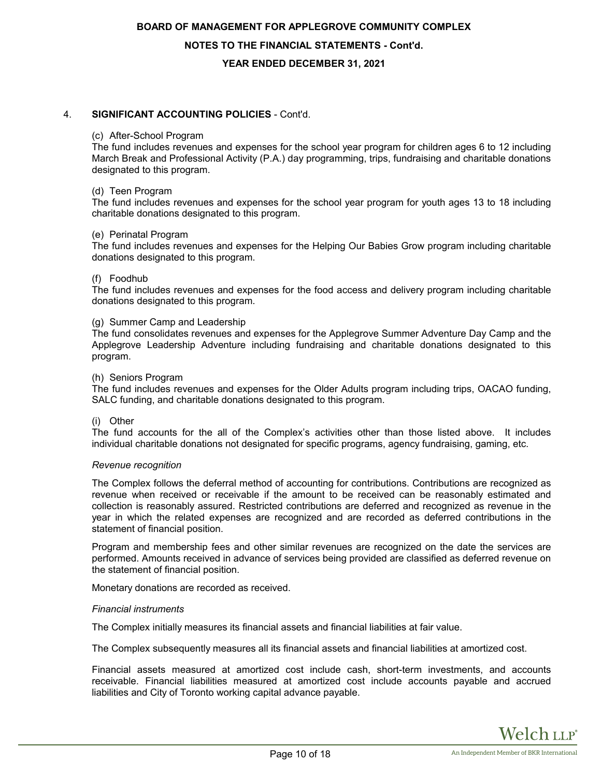# 4. **SIGNIFICANT ACCOUNTING POLICIES** - Cont'd.

#### (c) After-School Program

The fund includes revenues and expenses for the school year program for children ages 6 to 12 including March Break and Professional Activity (P.A.) day programming, trips, fundraising and charitable donations designated to this program.

#### (d) Teen Program

The fund includes revenues and expenses for the school year program for youth ages 13 to 18 including charitable donations designated to this program.

#### (e) Perinatal Program

The fund includes revenues and expenses for the Helping Our Babies Grow program including charitable donations designated to this program.

#### (f) Foodhub

The fund includes revenues and expenses for the food access and delivery program including charitable donations designated to this program.

#### (g) Summer Camp and Leadership

The fund consolidates revenues and expenses for the Applegrove Summer Adventure Day Camp and the Applegrove Leadership Adventure including fundraising and charitable donations designated to this program.

#### (h) Seniors Program

The fund includes revenues and expenses for the Older Adults program including trips, OACAO funding, SALC funding, and charitable donations designated to this program.

#### (i) Other

The fund accounts for the all of the Complex's activities other than those listed above. It includes individual charitable donations not designated for specific programs, agency fundraising, gaming, etc.

#### *Revenue recognition*

The Complex follows the deferral method of accounting for contributions. Contributions are recognized as revenue when received or receivable if the amount to be received can be reasonably estimated and collection is reasonably assured. Restricted contributions are deferred and recognized as revenue in the year in which the related expenses are recognized and are recorded as deferred contributions in the statement of financial position.

Program and membership fees and other similar revenues are recognized on the date the services are performed. Amounts received in advance of services being provided are classified as deferred revenue on the statement of financial position.

Monetary donations are recorded as received.

#### *Financial instruments*

The Complex initially measures its financial assets and financial liabilities at fair value.

The Complex subsequently measures all its financial assets and financial liabilities at amortized cost.

Financial assets measured at amortized cost include cash, short-term investments, and accounts receivable. Financial liabilities measured at amortized cost include accounts payable and accrued liabilities and City of Toronto working capital advance payable.

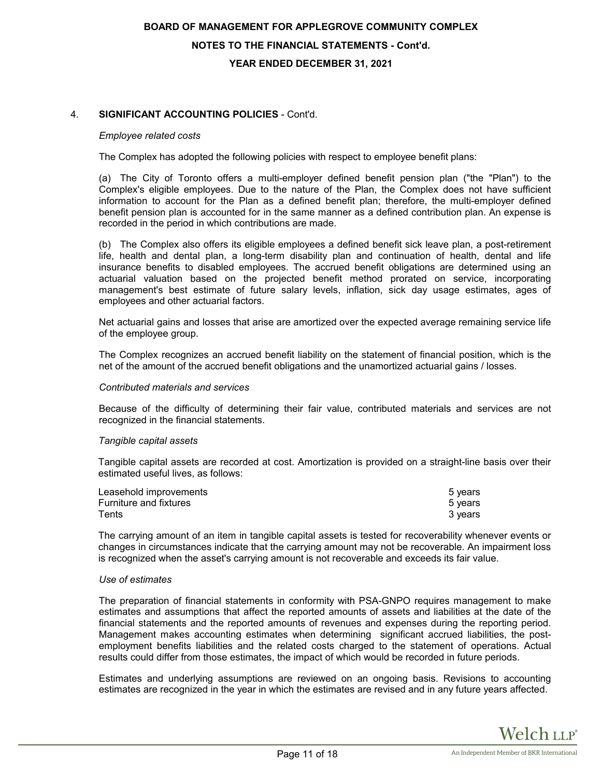## 4. **SIGNIFICANT ACCOUNTING POLICIES** - Cont'd.

#### *Employee related costs*

The Complex has adopted the following policies with respect to employee benefit plans:

(a) The City of Toronto offers a multi-employer defined benefit pension plan ("the "Plan") to the Complex's eligible employees. Due to the nature of the Plan, the Complex does not have sufficient information to account for the Plan as a defined benefit plan; therefore, the multi-employer defined benefit pension plan is accounted for in the same manner as a defined contribution plan. An expense is recorded in the period in which contributions are made.

(b) The Complex also offers its eligible employees a defined benefit sick leave plan, a post-retirement life, health and dental plan, a long-term disability plan and continuation of health, dental and life insurance benefits to disabled employees. The accrued benefit obligations are determined using an actuarial valuation based on the projected benefit method prorated on service, incorporating management's best estimate of future salary levels, inflation, sick day usage estimates, ages of employees and other actuarial factors.

Net actuarial gains and losses that arise are amortized over the expected average remaining service life of the employee group.

The Complex recognizes an accrued benefit liability on the statement of financial position, which is the net of the amount of the accrued benefit obligations and the unamortized actuarial gains / losses.

#### *Contributed materials and services*

Because of the difficulty of determining their fair value, contributed materials and services are not recognized in the financial statements.

#### *Tangible capital assets*

Tangible capital assets are recorded at cost. Amortization is provided on a straight-line basis over their estimated useful lives, as follows:

| Leasehold improvements | 5 years |
|------------------------|---------|
| Furniture and fixtures | 5 years |
| Tents                  | 3 vears |

The carrying amount of an item in tangible capital assets is tested for recoverability whenever events or changes in circumstances indicate that the carrying amount may not be recoverable. An impairment loss is recognized when the asset's carrying amount is not recoverable and exceeds its fair value.

#### *Use of estimates*

The preparation of financial statements in conformity with PSA-GNPO requires management to make estimates and assumptions that affect the reported amounts of assets and liabilities at the date of the financial statements and the reported amounts of revenues and expenses during the reporting period. Management makes accounting estimates when determining significant accrued liabilities, the postemployment benefits liabilities and the related costs charged to the statement of operations. Actual results could differ from those estimates, the impact of which would be recorded in future periods.

Estimates and underlying assumptions are reviewed on an ongoing basis. Revisions to accounting estimates are recognized in the year in which the estimates are revised and in any future years affected.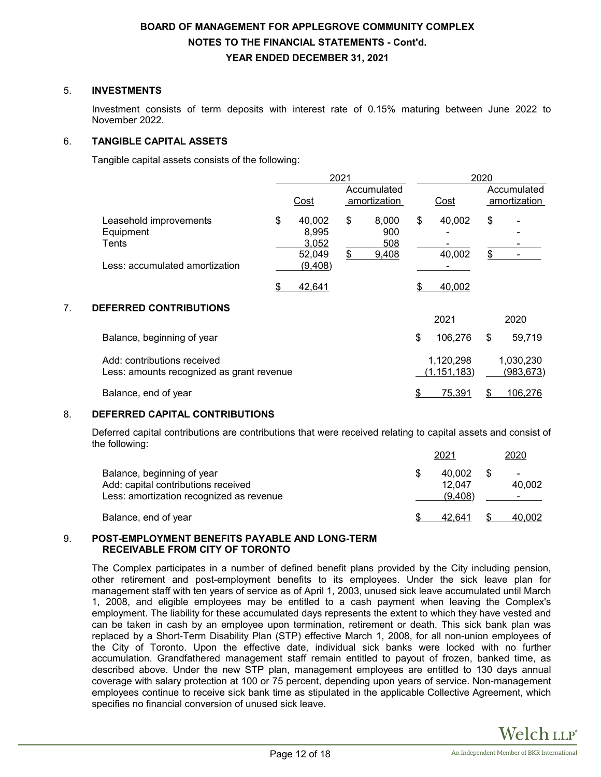## 5. **INVESTMENTS**

Investment consists of term deposits with interest rate of 0.15% maturing between June 2022 to November 2022.

#### 6. **TANGIBLE CAPITAL ASSETS**

Tangible capital assets consists of the following:

|    |                                                                                |                                                     | 2021     |                              | 2020                       |          |                             |  |
|----|--------------------------------------------------------------------------------|-----------------------------------------------------|----------|------------------------------|----------------------------|----------|-----------------------------|--|
|    |                                                                                | Cost                                                |          | Accumulated<br>amortization  | Cost                       |          | Accumulated<br>amortization |  |
|    | Leasehold improvements<br>Equipment<br>Tents<br>Less: accumulated amortization | \$<br>40,002<br>8,995<br>3,052<br>52,049<br>(9,408) | \$<br>\$ | 8,000<br>900<br>508<br>9,408 | \$<br>40,002<br>40,002     | \$<br>\$ |                             |  |
|    |                                                                                | 42,641                                              |          |                              | 40,002                     |          |                             |  |
| 7. | <b>DEFERRED CONTRIBUTIONS</b>                                                  |                                                     |          |                              | 2021                       |          | 2020                        |  |
|    | Balance, beginning of year                                                     |                                                     |          |                              | \$<br>106,276              | \$       | 59,719                      |  |
|    | Add: contributions received<br>Less: amounts recognized as grant revenue       |                                                     |          |                              | 1,120,298<br>(1, 151, 183) |          | 1,030,230<br>(983,673)      |  |
|    | Balance, end of year                                                           |                                                     |          |                              | \$<br>75,391               | \$       | 106,276                     |  |

# 8. **DEFERRED CAPITAL CONTRIBUTIONS**

Deferred capital contributions are contributions that were received relating to capital assets and consist of the following:

|                                          | 2021    | 2020                     |
|------------------------------------------|---------|--------------------------|
| Balance, beginning of year               | 40.002  | $\overline{\phantom{a}}$ |
| Add: capital contributions received      | 12.047  | 40,002                   |
| Less: amortization recognized as revenue | (9.408) | ۰.                       |
| Balance, end of year                     | 42.641  | 40,002                   |

#### 9. **POST-EMPLOYMENT BENEFITS PAYABLE AND LONG-TERM RECEIVABLE FROM CITY OF TORONTO**

The Complex participates in a number of defined benefit plans provided by the City including pension, other retirement and post-employment benefits to its employees. Under the sick leave plan for management staff with ten years of service as of April 1, 2003, unused sick leave accumulated until March 1, 2008, and eligible employees may be entitled to a cash payment when leaving the Complex's employment. The liability for these accumulated days represents the extent to which they have vested and can be taken in cash by an employee upon termination, retirement or death. This sick bank plan was replaced by a Short-Term Disability Plan (STP) effective March 1, 2008, for all non-union employees of the City of Toronto. Upon the effective date, individual sick banks were locked with no further accumulation. Grandfathered management staff remain entitled to payout of frozen, banked time, as described above. Under the new STP plan, management employees are entitled to 130 days annual coverage with salary protection at 100 or 75 percent, depending upon years of service. Non-management employees continue to receive sick bank time as stipulated in the applicable Collective Agreement, which specifies no financial conversion of unused sick leave.

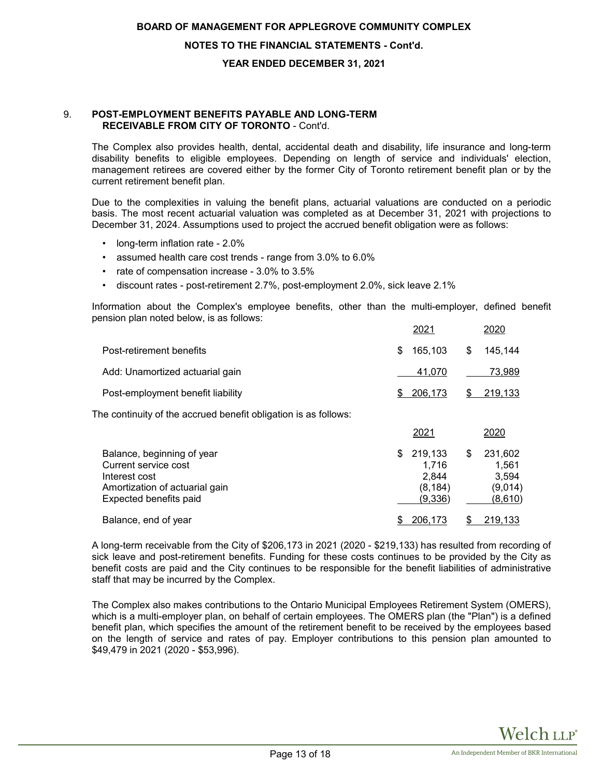#### 9. **POST-EMPLOYMENT BENEFITS PAYABLE AND LONG-TERM RECEIVABLE FROM CITY OF TORONTO** - Cont'd.

The Complex also provides health, dental, accidental death and disability, life insurance and long-term disability benefits to eligible employees. Depending on length of service and individuals' election, management retirees are covered either by the former City of Toronto retirement benefit plan or by the current retirement benefit plan.

Due to the complexities in valuing the benefit plans, actuarial valuations are conducted on a periodic basis. The most recent actuarial valuation was completed as at December 31, 2021 with projections to December 31, 2024. Assumptions used to project the accrued benefit obligation were as follows:

- long-term inflation rate 2.0%
- assumed health care cost trends range from 3.0% to 6.0%
- rate of compensation increase 3.0% to 3.5%
- discount rates post-retirement 2.7%, post-employment 2.0%, sick leave 2.1%

Information about the Complex's employee benefits, other than the multi-employer, defined benefit pension plan noted below, is as follows:

|                                                                                                                                 | 2021                                                    | 2020                                                  |
|---------------------------------------------------------------------------------------------------------------------------------|---------------------------------------------------------|-------------------------------------------------------|
| Post-retirement benefits                                                                                                        | \$<br>165,103                                           | 145,144<br>\$                                         |
| Add: Unamortized actuarial gain                                                                                                 | 41,070                                                  | 73,989                                                |
| Post-employment benefit liability                                                                                               | 206,173<br>S                                            | 219,133<br>S                                          |
| The continuity of the accrued benefit obligation is as follows:                                                                 |                                                         |                                                       |
|                                                                                                                                 | 2021                                                    | 2020                                                  |
| Balance, beginning of year<br>Current service cost<br>Interest cost<br>Amortization of actuarial gain<br>Expected benefits paid | 219,133<br>\$.<br>1,716<br>2.844<br>(8, 184)<br>(9,336) | 231,602<br>\$<br>1,561<br>3,594<br>(9,014)<br>(8,610) |
| Balance, end of year                                                                                                            | 206,173<br>P.                                           | 219,133<br>\$                                         |

A long-term receivable from the City of \$206,173 in 2021 (2020 - \$219,133) has resulted from recording of sick leave and post-retirement benefits. Funding for these costs continues to be provided by the City as benefit costs are paid and the City continues to be responsible for the benefit liabilities of administrative staff that may be incurred by the Complex.

The Complex also makes contributions to the Ontario Municipal Employees Retirement System (OMERS), which is a multi-employer plan, on behalf of certain employees. The OMERS plan (the "Plan") is a defined benefit plan, which specifies the amount of the retirement benefit to be received by the employees based on the length of service and rates of pay. Employer contributions to this pension plan amounted to \$49,479 in 2021 (2020 - \$53,996).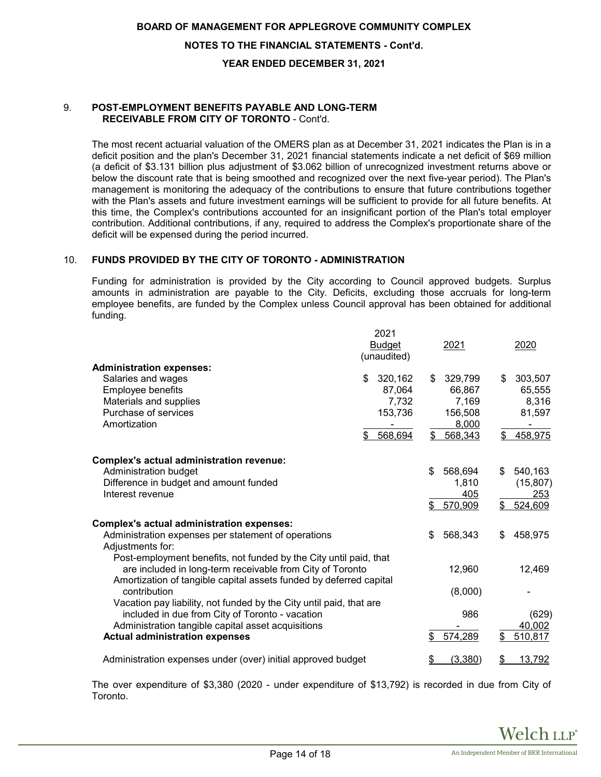## 9. **POST-EMPLOYMENT BENEFITS PAYABLE AND LONG-TERM RECEIVABLE FROM CITY OF TORONTO** - Cont'd.

The most recent actuarial valuation of the OMERS plan as at December 31, 2021 indicates the Plan is in a deficit position and the plan's December 31, 2021 financial statements indicate a net deficit of \$69 million (a deficit of \$3.131 billion plus adjustment of \$3.062 billion of unrecognized investment returns above or below the discount rate that is being smoothed and recognized over the next five-year period). The Plan's management is monitoring the adequacy of the contributions to ensure that future contributions together with the Plan's assets and future investment earnings will be sufficient to provide for all future benefits. At this time, the Complex's contributions accounted for an insignificant portion of the Plan's total employer contribution. Additional contributions, if any, required to address the Complex's proportionate share of the deficit will be expensed during the period incurred.

# 10. **FUNDS PROVIDED BY THE CITY OF TORONTO - ADMINISTRATION**

Funding for administration is provided by the City according to Council approved budgets. Surplus amounts in administration are payable to the City. Deficits, excluding those accruals for long-term employee benefits, are funded by the Complex unless Council approval has been obtained for additional funding.

| <b>Administration expenses:</b>                                                                                                                                                                                        | 2021<br><b>Budget</b><br>(unaudited)                   | 2021                                                                  | 2020                                                        |
|------------------------------------------------------------------------------------------------------------------------------------------------------------------------------------------------------------------------|--------------------------------------------------------|-----------------------------------------------------------------------|-------------------------------------------------------------|
| Salaries and wages<br>Employee benefits<br>Materials and supplies<br>Purchase of services<br>Amortization                                                                                                              | \$<br>320,162<br>87,064<br>7,732<br>153,736<br>568,694 | 329,799<br>\$<br>66,867<br>7,169<br>156,508<br>8,000<br>568,343<br>\$ | \$<br>303,507<br>65,555<br>8,316<br>81,597<br>458,975<br>\$ |
| Complex's actual administration revenue:<br>Administration budget<br>Difference in budget and amount funded<br>Interest revenue                                                                                        |                                                        | \$<br>568,694<br>1,810<br>405<br>570,909<br>\$                        | \$<br>540,163<br>(15, 807)<br>253<br>\$<br>524,609          |
| <b>Complex's actual administration expenses:</b><br>Administration expenses per statement of operations<br>Adjustments for:<br>Post-employment benefits, not funded by the City until paid, that                       |                                                        | \$<br>568,343                                                         | \$<br>458,975                                               |
| are included in long-term receivable from City of Toronto<br>Amortization of tangible capital assets funded by deferred capital<br>contribution<br>Vacation pay liability, not funded by the City until paid, that are |                                                        | 12,960<br>(8,000)                                                     | 12,469                                                      |
| included in due from City of Toronto - vacation<br>Administration tangible capital asset acquisitions<br><b>Actual administration expenses</b>                                                                         |                                                        | 986<br>574,289<br>\$                                                  | (629)<br>40,002<br>\$<br>510,817                            |
| Administration expenses under (over) initial approved budget                                                                                                                                                           |                                                        | (3,380)<br>\$                                                         | \$<br>13,792                                                |

The over expenditure of \$3,380 (2020 - under expenditure of \$13,792) is recorded in due from City of Toronto.

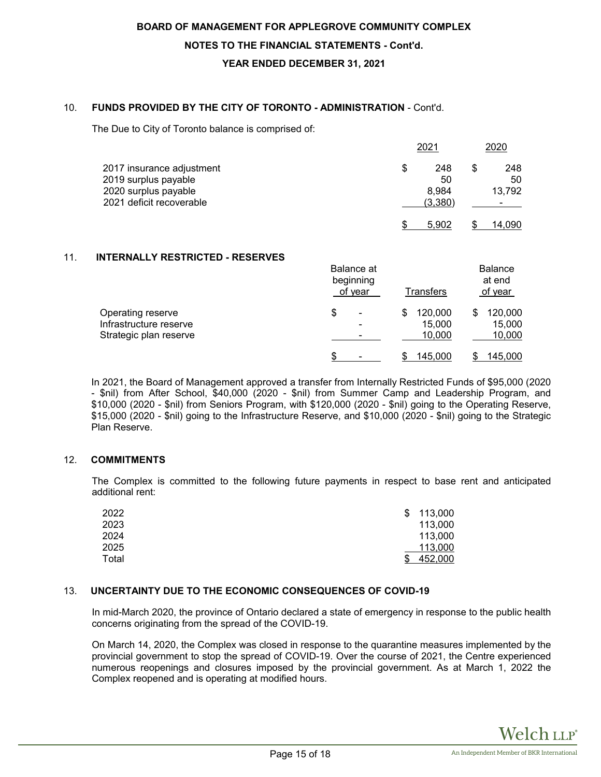# 10. **FUNDS PROVIDED BY THE CITY OF TORONTO - ADMINISTRATION** - Cont'd.

The Due to City of Toronto balance is comprised of:

|     |                                                                                                       |                      | 2021                                 | 2020                              |
|-----|-------------------------------------------------------------------------------------------------------|----------------------|--------------------------------------|-----------------------------------|
|     | 2017 insurance adjustment<br>2019 surplus payable<br>2020 surplus payable<br>2021 deficit recoverable |                      | \$<br>248<br>50<br>8,984<br>(3, 380) | \$<br>248<br>50<br>13,792         |
|     |                                                                                                       |                      | 5,902<br>S                           | 14,090<br>S                       |
| 11. | <b>INTERNALLY RESTRICTED - RESERVES</b>                                                               |                      |                                      |                                   |
|     |                                                                                                       | Balance at           |                                      | <b>Balance</b>                    |
|     |                                                                                                       | beginning<br>of year | <b>Transfers</b>                     | at end<br>of year                 |
|     | Operating reserve<br>Infrastructure reserve                                                           | \$                   | \$<br>120,000<br>15,000<br>10,000    | 120,000<br>\$<br>15,000<br>10,000 |
|     | Strategic plan reserve                                                                                |                      |                                      |                                   |
|     |                                                                                                       | \$                   | 145,000<br>\$                        | 145,000<br>\$                     |

In 2021, the Board of Management approved a transfer from Internally Restricted Funds of \$95,000 (2020 - \$nil) from After School, \$40,000 (2020 - \$nil) from Summer Camp and Leadership Program, and \$10,000 (2020 - \$nil) from Seniors Program, with \$120,000 (2020 - \$nil) going to the Operating Reserve, \$15,000 (2020 - \$nil) going to the Infrastructure Reserve, and \$10,000 (2020 - \$nil) going to the Strategic Plan Reserve.

# 12. **COMMITMENTS**

The Complex is committed to the following future payments in respect to base rent and anticipated additional rent:

| 2022  | \$113,000 |
|-------|-----------|
|       |           |
| 2023  | 113,000   |
| 2024  | 113,000   |
| 2025  | 113,000   |
| Total | 452,000   |

# 13. **UNCERTAINTY DUE TO THE ECONOMIC CONSEQUENCES OF COVID-19**

In mid-March 2020, the province of Ontario declared a state of emergency in response to the public health concerns originating from the spread of the COVID-19.

On March 14, 2020, the Complex was closed in response to the quarantine measures implemented by the provincial government to stop the spread of COVID-19. Over the course of 2021, the Centre experienced numerous reopenings and closures imposed by the provincial government. As at March 1, 2022 the Complex reopened and is operating at modified hours.

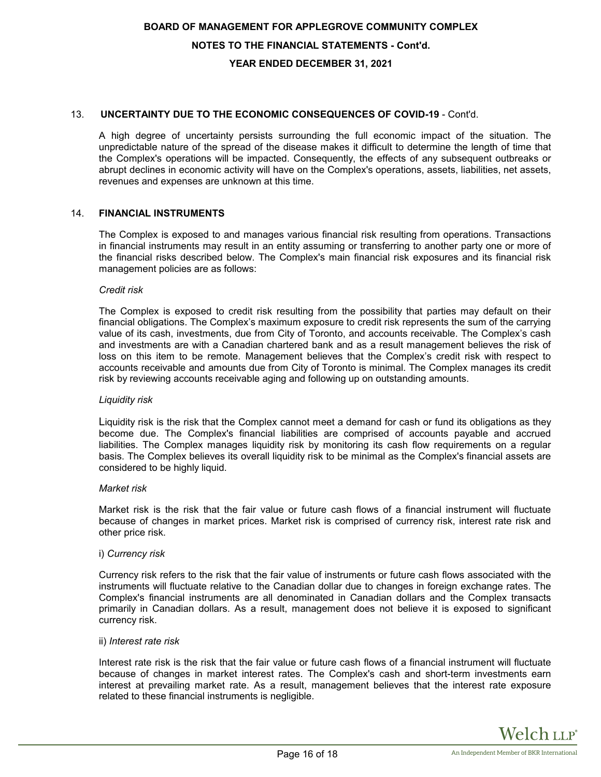### 13. **UNCERTAINTY DUE TO THE ECONOMIC CONSEQUENCES OF COVID-19** - Cont'd.

A high degree of uncertainty persists surrounding the full economic impact of the situation. The unpredictable nature of the spread of the disease makes it difficult to determine the length of time that the Complex's operations will be impacted. Consequently, the effects of any subsequent outbreaks or abrupt declines in economic activity will have on the Complex's operations, assets, liabilities, net assets, revenues and expenses are unknown at this time.

#### 14. **FINANCIAL INSTRUMENTS**

The Complex is exposed to and manages various financial risk resulting from operations. Transactions in financial instruments may result in an entity assuming or transferring to another party one or more of the financial risks described below. The Complex's main financial risk exposures and its financial risk management policies are as follows:

#### *Credit risk*

The Complex is exposed to credit risk resulting from the possibility that parties may default on their financial obligations. The Complex's maximum exposure to credit risk represents the sum of the carrying value of its cash, investments, due from City of Toronto, and accounts receivable. The Complex's cash and investments are with a Canadian chartered bank and as a result management believes the risk of loss on this item to be remote. Management believes that the Complex's credit risk with respect to accounts receivable and amounts due from City of Toronto is minimal. The Complex manages its credit risk by reviewing accounts receivable aging and following up on outstanding amounts.

#### *Liquidity risk*

Liquidity risk is the risk that the Complex cannot meet a demand for cash or fund its obligations as they become due. The Complex's financial liabilities are comprised of accounts payable and accrued liabilities. The Complex manages liquidity risk by monitoring its cash flow requirements on a regular basis. The Complex believes its overall liquidity risk to be minimal as the Complex's financial assets are considered to be highly liquid.

#### *Market risk*

Market risk is the risk that the fair value or future cash flows of a financial instrument will fluctuate because of changes in market prices. Market risk is comprised of currency risk, interest rate risk and other price risk.

#### i) *Currency risk*

Currency risk refers to the risk that the fair value of instruments or future cash flows associated with the instruments will fluctuate relative to the Canadian dollar due to changes in foreign exchange rates. The Complex's financial instruments are all denominated in Canadian dollars and the Complex transacts primarily in Canadian dollars. As a result, management does not believe it is exposed to significant currency risk.

#### ii) *Interest rate risk*

Interest rate risk is the risk that the fair value or future cash flows of a financial instrument will fluctuate because of changes in market interest rates. The Complex's cash and short-term investments earn interest at prevailing market rate. As a result, management believes that the interest rate exposure related to these financial instruments is negligible.

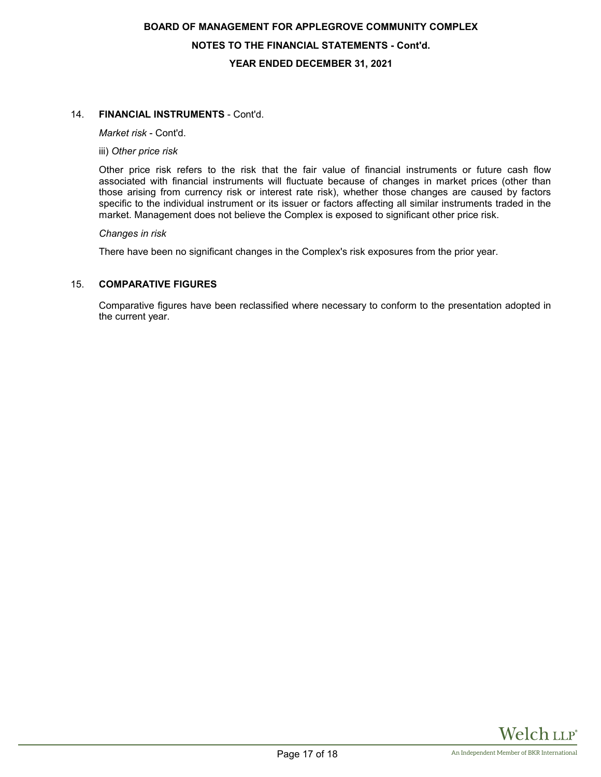#### 14. **FINANCIAL INSTRUMENTS** - Cont'd.

*Market risk* - Cont'd.

iii) *Other price risk*

Other price risk refers to the risk that the fair value of financial instruments or future cash flow associated with financial instruments will fluctuate because of changes in market prices (other than those arising from currency risk or interest rate risk), whether those changes are caused by factors specific to the individual instrument or its issuer or factors affecting all similar instruments traded in the market. Management does not believe the Complex is exposed to significant other price risk.

#### *Changes in risk*

There have been no significant changes in the Complex's risk exposures from the prior year.

#### 15. **COMPARATIVE FIGURES**

Comparative figures have been reclassified where necessary to conform to the presentation adopted in the current year.